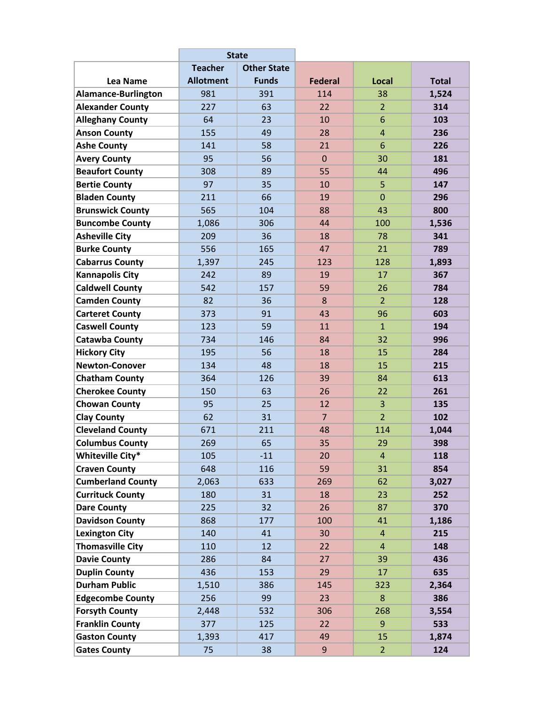|                          | <b>State</b>     |                    |                |                |              |
|--------------------------|------------------|--------------------|----------------|----------------|--------------|
|                          | <b>Teacher</b>   | <b>Other State</b> |                |                |              |
| Lea Name                 | <b>Allotment</b> | <b>Funds</b>       | <b>Federal</b> | <b>Local</b>   | <b>Total</b> |
| Alamance-Burlington      | 981              | 391                | 114            | 38             | 1,524        |
| <b>Alexander County</b>  | 227              | 63                 | 22             | $\overline{2}$ | 314          |
| <b>Alleghany County</b>  | 64               | 23                 | 10             | 6              | 103          |
| <b>Anson County</b>      | 155              | 49                 | 28             | $\overline{4}$ | 236          |
| <b>Ashe County</b>       | 141              | 58                 | 21             | 6              | 226          |
| <b>Avery County</b>      | 95               | 56                 | $\mathbf{0}$   | 30             | 181          |
| <b>Beaufort County</b>   | 308              | 89                 | 55             | 44             | 496          |
| <b>Bertie County</b>     | 97               | 35                 | 10             | 5              | 147          |
| <b>Bladen County</b>     | 211              | 66                 | 19             | $\overline{0}$ | 296          |
| <b>Brunswick County</b>  | 565              | 104                | 88             | 43             | 800          |
| <b>Buncombe County</b>   | 1,086            | 306                | 44             | 100            | 1,536        |
| <b>Asheville City</b>    | 209              | 36                 | 18             | 78             | 341          |
| <b>Burke County</b>      | 556              | 165                | 47             | 21             | 789          |
| <b>Cabarrus County</b>   | 1,397            | 245                | 123            | 128            | 1,893        |
| <b>Kannapolis City</b>   | 242              | 89                 | 19             | 17             | 367          |
| <b>Caldwell County</b>   | 542              | 157                | 59             | 26             | 784          |
| <b>Camden County</b>     | 82               | 36                 | 8              | $\overline{2}$ | 128          |
| <b>Carteret County</b>   | 373              | 91                 | 43             | 96             | 603          |
| <b>Caswell County</b>    | 123              | 59                 | 11             | $\overline{1}$ | 194          |
| <b>Catawba County</b>    | 734              | 146                | 84             | 32             | 996          |
| <b>Hickory City</b>      | 195              | 56                 | 18             | 15             | 284          |
| <b>Newton-Conover</b>    | 134              | 48                 | 18             | 15             | 215          |
| <b>Chatham County</b>    | 364              | 126                | 39             | 84             | 613          |
| <b>Cherokee County</b>   | 150              | 63                 | 26             | 22             | 261          |
| <b>Chowan County</b>     | 95               | 25                 | 12             | 3              | 135          |
| <b>Clay County</b>       | 62               | 31                 | $\overline{7}$ | $\overline{2}$ | 102          |
| <b>Cleveland County</b>  | 671              | 211                | 48             | 114            | 1,044        |
| <b>Columbus County</b>   | 269              | 65                 | 35             | 29             | 398          |
| <b>Whiteville City*</b>  | 105              | $-11$              | 20             | $\overline{a}$ | 118          |
| <b>Craven County</b>     | 648              | 116                | 59             | 31             | 854          |
| <b>Cumberland County</b> | 2,063            | 633                | 269            | 62             | 3,027        |
| <b>Currituck County</b>  | 180              | 31                 | 18             | 23             | 252          |
| <b>Dare County</b>       | 225              | 32                 | 26             | 87             | 370          |
| <b>Davidson County</b>   | 868              | 177                | 100            | 41             | 1,186        |
| <b>Lexington City</b>    | 140              | 41                 | 30             | 4              | 215          |
| <b>Thomasville City</b>  | 110              | 12                 | 22             | 4              | 148          |
| <b>Davie County</b>      | 286              | 84                 | 27             | 39             | 436          |
| <b>Duplin County</b>     | 436              | 153                | 29             | 17             | 635          |
| <b>Durham Public</b>     | 1,510            | 386                | 145            | 323            | 2,364        |
| <b>Edgecombe County</b>  | 256              | 99                 | 23             | 8              | 386          |
| <b>Forsyth County</b>    | 2,448            | 532                | 306            | 268            | 3,554        |
| <b>Franklin County</b>   | 377              | 125                | 22             | 9              | 533          |
| <b>Gaston County</b>     | 1,393            | 417                | 49             | 15             | 1,874        |
| <b>Gates County</b>      | 75               | 38                 | 9              | $\overline{2}$ | 124          |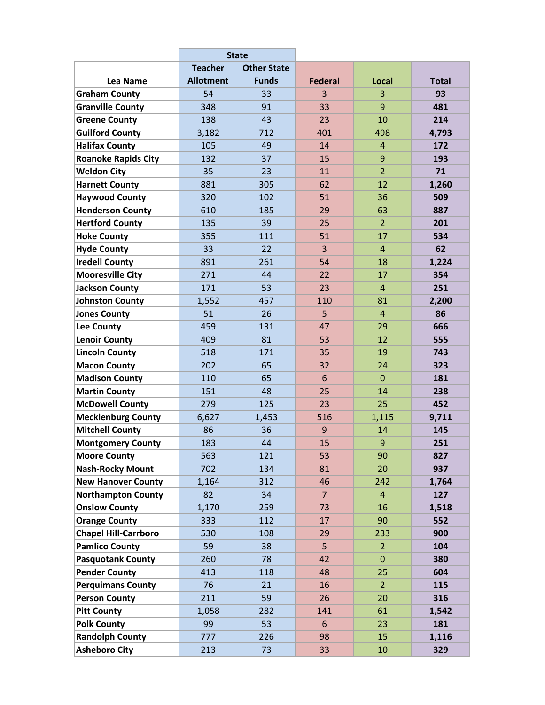|                             | <b>State</b>     |                    |                |                |              |
|-----------------------------|------------------|--------------------|----------------|----------------|--------------|
|                             | <b>Teacher</b>   | <b>Other State</b> |                |                |              |
| Lea Name                    | <b>Allotment</b> | <b>Funds</b>       | <b>Federal</b> | Local          | <b>Total</b> |
| <b>Graham County</b>        | 54               | 33                 | 3              | 3              | 93           |
| <b>Granville County</b>     | 348              | 91                 | 33             | 9              | 481          |
| <b>Greene County</b>        | 138              | 43                 | 23             | 10             | 214          |
| <b>Guilford County</b>      | 3,182            | 712                | 401            | 498            | 4,793        |
| <b>Halifax County</b>       | 105              | 49                 | 14             | $\overline{4}$ | 172          |
| <b>Roanoke Rapids City</b>  | 132              | 37                 | 15             | 9              | 193          |
| <b>Weldon City</b>          | 35               | 23                 | 11             | $\overline{2}$ | 71           |
| <b>Harnett County</b>       | 881              | 305                | 62             | 12             | 1,260        |
| <b>Haywood County</b>       | 320              | 102                | 51             | 36             | 509          |
| <b>Henderson County</b>     | 610              | 185                | 29             | 63             | 887          |
| <b>Hertford County</b>      | 135              | 39                 | 25             | $\overline{2}$ | 201          |
| <b>Hoke County</b>          | 355              | 111                | 51             | 17             | 534          |
| <b>Hyde County</b>          | 33               | 22                 | 3              | $\overline{4}$ | 62           |
| <b>Iredell County</b>       | 891              | 261                | 54             | 18             | 1,224        |
| <b>Mooresville City</b>     | 271              | 44                 | 22             | 17             | 354          |
| <b>Jackson County</b>       | 171              | 53                 | 23             | $\overline{4}$ | 251          |
| <b>Johnston County</b>      | 1,552            | 457                | 110            | 81             | 2,200        |
| <b>Jones County</b>         | 51               | 26                 | 5              | $\overline{4}$ | 86           |
| <b>Lee County</b>           | 459              | 131                | 47             | 29             | 666          |
| <b>Lenoir County</b>        | 409              | 81                 | 53             | 12             | 555          |
| <b>Lincoln County</b>       | 518              | 171                | 35             | 19             | 743          |
| <b>Macon County</b>         | 202              | 65                 | 32             | 24             | 323          |
| <b>Madison County</b>       | 110              | 65                 | 6              | $\Omega$       | 181          |
| <b>Martin County</b>        | 151              | 48                 | 25             | 14             | 238          |
| <b>McDowell County</b>      | 279              | 125                | 23             | 25             | 452          |
| <b>Mecklenburg County</b>   | 6,627            | 1,453              | 516            | 1,115          | 9,711        |
| <b>Mitchell County</b>      | 86               | 36                 | 9              | 14             | 145          |
| <b>Montgomery County</b>    | 183              | 44                 | 15             | 9              | 251          |
| <b>Moore County</b>         | 563              | 121                | 53             | 90             | 827          |
| <b>Nash-Rocky Mount</b>     | 702              | 134                | 81             | 20             | 937          |
| <b>New Hanover County</b>   | 1,164            | 312                | 46             | 242            | 1,764        |
| <b>Northampton County</b>   | 82               | 34                 | $\overline{7}$ | $\overline{4}$ | 127          |
| <b>Onslow County</b>        | 1,170            | 259                | 73             | 16             | 1,518        |
| <b>Orange County</b>        | 333              | 112                | 17             | 90             | 552          |
| <b>Chapel Hill-Carrboro</b> | 530              | 108                | 29             | 233            | 900          |
| <b>Pamlico County</b>       | 59               | 38                 | 5              | 2 <sup>1</sup> | 104          |
| <b>Pasquotank County</b>    | 260              | 78                 | 42             | $\pmb{0}$      | 380          |
| <b>Pender County</b>        | 413              | 118                | 48             | 25             | 604          |
| <b>Perquimans County</b>    | 76               | 21                 | 16             | $\overline{2}$ | 115          |
| <b>Person County</b>        | 211              | 59                 | 26             | 20             | 316          |
| <b>Pitt County</b>          | 1,058            | 282                | 141            | 61             | 1,542        |
| <b>Polk County</b>          | 99               | 53                 | 6              | 23             | 181          |
| <b>Randolph County</b>      | 777              | 226                | 98             | 15             | 1,116        |
| <b>Asheboro City</b>        | 213              | 73                 | 33             | 10             | 329          |